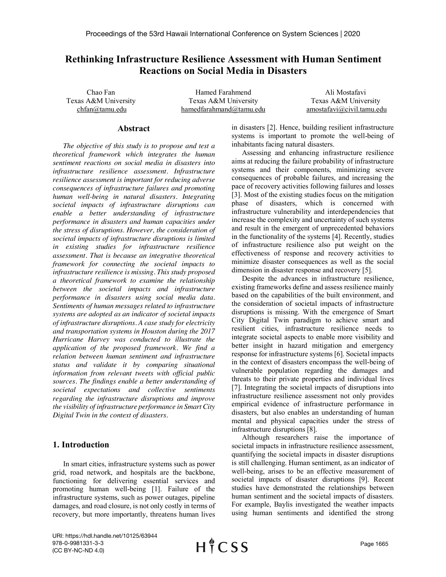# **Rethinking Infrastructure Resilience Assessment with Human Sentiment Reactions on Social Media in Disasters**

Chao Fan Texas A&M University chfan@tamu.edu

Hamed Farahmend Texas A&M University hamedfarahmand@tamu.edu

Ali Mostafavi Texas A&M University amostafavi@civil.tamu.edu

#### **Abstract**

*The objective of this study is to propose and test a theoretical framework which integrates the human sentiment reactions on social media in disasters into infrastructure resilience assessment. Infrastructure resilience assessment is important for reducing adverse consequences of infrastructure failures and promoting human well-being in natural disasters. Integrating societal impacts of infrastructure disruptions can enable a better understanding of infrastructure performance in disasters and human capacities under the stress of disruptions. However, the consideration of societal impacts of infrastructure disruptions is limited in existing studies for infrastructure resilience assessment. That is because an integrative theoretical framework for connecting the societal impacts to infrastructure resilience is missing. This study proposed a theoretical framework to examine the relationship between the societal impacts and infrastructure performance in disasters using social media data. Sentiments of human messages related to infrastructure systems are adopted as an indicator of societal impacts of infrastructure disruptions. A case study for electricity and transportation systems in Houston during the 2017 Hurricane Harvey was conducted to illustrate the application of the proposed framework. We find a relation between human sentiment and infrastructure status and validate it by comparing situational information from relevant tweets with official public sources. The findings enable a better understanding of societal expectations and collective sentiments regarding the infrastructure disruptions and improve the visibility of infrastructure performance in Smart City Digital Twin in the context of disasters.*

## **1. Introduction**

In smart cities, infrastructure systems such as power grid, road network, and hospitals are the backbone, functioning for delivering essential services and promoting human well-being [1]. Failure of the infrastructure systems, such as power outages, pipeline damages, and road closure, is not only costly in terms of recovery, but more importantly, threatens human lives

in disasters [2]. Hence, building resilient infrastructure systems is important to promote the well-being of inhabitants facing natural disasters.

Assessing and enhancing infrastructure resilience aims at reducing the failure probability of infrastructure systems and their components, minimizing severe consequences of probable failures, and increasing the pace of recovery activities following failures and losses [3]. Most of the existing studies focus on the mitigation phase of disasters, which is concerned with infrastructure vulnerability and interdependencies that increase the complexity and uncertainty of such systems and result in the emergent of unprecedented behaviors in the functionality of the systems [4]. Recently, studies of infrastructure resilience also put weight on the effectiveness of response and recovery activities to minimize disaster consequences as well as the social dimension in disaster response and recovery [5].

Despite the advances in infrastructure resilience, existing frameworks define and assess resilience mainly based on the capabilities of the built environment, and the consideration of societal impacts of infrastructure disruptions is missing. With the emergence of Smart City Digital Twin paradigm to achieve smart and resilient cities, infrastructure resilience needs to integrate societal aspects to enable more visibility and better insight in hazard mitigation and emergency response for infrastructure systems [6]. Societal impacts in the context of disasters encompass the well-being of vulnerable population regarding the damages and threats to their private properties and individual lives [7]. Integrating the societal impacts of disruptions into infrastructure resilience assessment not only provides empirical evidence of infrastructure performance in disasters, but also enables an understanding of human mental and physical capacities under the stress of infrastructure disruptions [8].

Although researchers raise the importance of societal impacts in infrastructure resilience assessment, quantifying the societal impacts in disaster disruptions is still challenging. Human sentiment, as an indicator of well-being, arises to be an effective measurement of societal impacts of disaster disruptions [9]. Recent studies have demonstrated the relationships between human sentiment and the societal impacts of disasters. For example, Baylis investigated the weather impacts using human sentiments and identified the strong

URI: https://hdl.handle.net/10125/63944 978-0-9981331-3-3 (CC BY-NC-ND 4.0)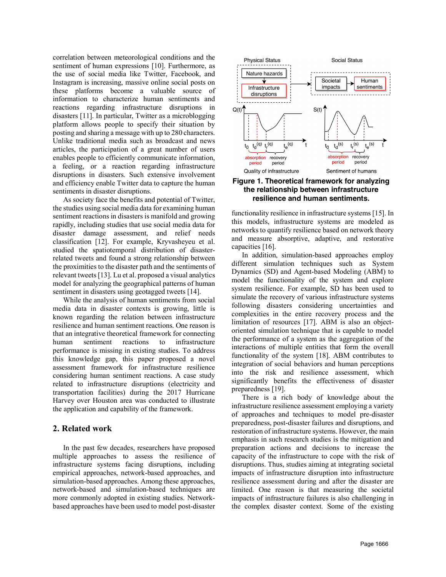correlation between meteorological conditions and the sentiment of human expressions [10]. Furthermore, as the use of social media like Twitter, Facebook, and Instagram is increasing, massive online social posts on these platforms become a valuable source of information to characterize human sentiments and reactions regarding infrastructure disruptions in disasters [11]. In particular, Twitter as a microblogging platform allows people to specify their situation by posting and sharing a message with up to 280 characters. Unlike traditional media such as broadcast and news articles, the participation of a great number of users enables people to efficiently communicate information, a feeling, or a reaction regarding infrastructure disruptions in disasters. Such extensive involvement and efficiency enable Twitter data to capture the human sentiments in disaster disruptions.

As society face the benefits and potential of Twitter, the studies using social media data for examining human sentiment reactions in disasters is manifold and growing rapidly, including studies that use social media data for disaster damage assessment, and relief needs classification [12]. For example, Kryvasheyeu et al. studied the spatiotemporal distribution of disasterrelated tweets and found a strong relationship between the proximities to the disaster path and the sentiments of relevant tweets [13]. Lu et al. proposed a visual analytics model for analyzing the geographical patterns of human sentiment in disasters using geotagged tweets [14].

While the analysis of human sentiments from social media data in disaster contexts is growing, little is known regarding the relation between infrastructure resilience and human sentiment reactions. One reason is that an integrative theoretical framework for connecting human sentiment reactions to infrastructure performance is missing in existing studies. To address this knowledge gap, this paper proposed a novel assessment framework for infrastructure resilience considering human sentiment reactions. A case study related to infrastructure disruptions (electricity and transportation facilities) during the 2017 Hurricane Harvey over Houston area was conducted to illustrate the application and capability of the framework.

## **2. Related work**

In the past few decades, researchers have proposed multiple approaches to assess the resilience of infrastructure systems facing disruptions, including empirical approaches, network-based approaches, and simulation-based approaches. Among these approaches, network-based and simulation-based techniques are more commonly adopted in existing studies. Networkbased approaches have been used to model post-disaster



## **Figure 1. Theoretical framework for analyzing the relationship between infrastructure resilience and human sentiments.**

functionality resilience in infrastructure systems [15]. In this models, infrastructure systems are modeled as networks to quantify resilience based on network theory and measure absorptive, adaptive, and restorative capacities [16].

In addition, simulation-based approaches employ different simulation techniques such as System Dynamics (SD) and Agent-based Modeling (ABM) to model the functionality of the system and explore system resilience. For example, SD has been used to simulate the recovery of various infrastructure systems following disasters considering uncertainties and complexities in the entire recovery process and the limitation of resources [17]. ABM is also an objectoriented simulation technique that is capable to model the performance of a system as the aggregation of the interactions of multiple entities that form the overall functionality of the system [18]. ABM contributes to integration of social behaviors and human perceptions into the risk and resilience assessment, which significantly benefits the effectiveness of disaster preparedness [19].

There is a rich body of knowledge about the infrastructure resilience assessment employing a variety of approaches and techniques to model pre-disaster preparedness, post-disaster failures and disruptions, and restoration of infrastructure systems. However, the main emphasis in such research studies is the mitigation and preparation actions and decisions to increase the capacity of the infrastructure to cope with the risk of disruptions. Thus, studies aiming at integrating societal impacts of infrastructure disruption into infrastructure resilience assessment during and after the disaster are limited. One reason is that measuring the societal impacts of infrastructure failures is also challenging in the complex disaster context. Some of the existing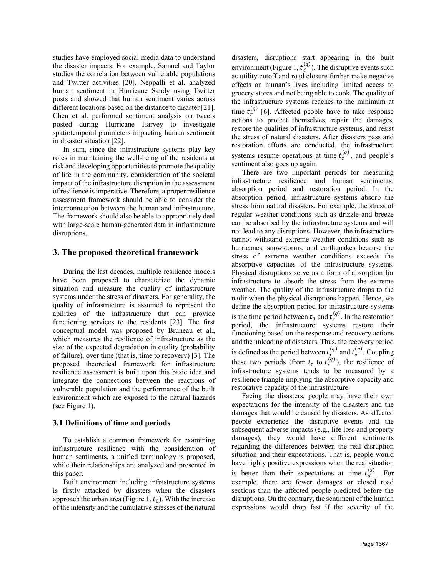studies have employed social media data to understand the disaster impacts. For example, Samuel and Taylor studies the correlation between vulnerable populations and Twitter activities [20]. Neppalli et al. analyzed human sentiment in Hurricane Sandy using Twitter posts and showed that human sentiment varies across different locations based on the distance to disaster [21]. Chen et al. performed sentiment analysis on tweets posted during Hurricane Harvey to investigate spatiotemporal parameters impacting human sentiment in disaster situation [22].

In sum, since the infrastructure systems play key roles in maintaining the well-being of the residents at risk and developing opportunities to promote the quality of life in the community, consideration of the societal impact of the infrastructure disruption in the assessment of resilience is imperative. Therefore, a proper resilience assessment framework should be able to consider the interconnection between the human and infrastructure. The framework should also be able to appropriately deal with large-scale human-generated data in infrastructure disruptions.

## **3. The proposed theoretical framework**

During the last decades, multiple resilience models have been proposed to characterize the dynamic situation and measure the quality of infrastructure systems under the stress of disasters. For generality, the quality of infrastructure is assumed to represent the abilities of the infrastructure that can provide functioning services to the residents [23]. The first conceptual model was proposed by Bruneau et al., which measures the resilience of infrastructure as the size of the expected degradation in quality (probability of failure), over time (that is, time to recovery) [3]. The proposed theoretical framework for infrastructure resilience assessment is built upon this basic idea and integrate the connections between the reactions of vulnerable population and the performance of the built environment which are exposed to the natural hazards (see Figure 1).

#### **3.1 Definitions of time and periods**

To establish a common framework for examining infrastructure resilience with the consideration of human sentiments, a unified terminology is proposed, while their relationships are analyzed and presented in this paper.

Built environment including infrastructure systems is firstly attacked by disasters when the disasters approach the urban area (Figure 1,  $t_0$ ). With the increase of the intensity and the cumulative stresses of the natural

disasters, disruptions start appearing in the built environment (Figure 1,  $t_d^{(q)}$ ). The disruptive events such as utility cutoff and road closure further make negative effects on human's lives including limited access to grocery stores and not being able to cook. The quality of the infrastructure systems reaches to the minimum at time  $t_r^{(q)}$  [6]. Affected people have to take response actions to protect themselves, repair the damages, restore the qualities of infrastructure systems, and resist the stress of natural disasters. After disasters pass and restoration efforts are conducted, the infrastructure systems resume operations at time  $t_e^{(q)}$ , and people's sentiment also goes up again.

There are two important periods for measuring infrastructure resilience and human sentiments: absorption period and restoration period. In the absorption period, infrastructure systems absorb the stress from natural disasters. For example, the stress of regular weather conditions such as drizzle and breeze can be absorbed by the infrastructure systems and will not lead to any disruptions. However, the infrastructure cannot withstand extreme weather conditions such as hurricanes, snowstorms, and earthquakes because the stress of extreme weather conditions exceeds the absorptive capacities of the infrastructure systems. Physical disruptions serve as a form of absorption for infrastructure to absorb the stress from the extreme weather. The quality of the infrastructure drops to the nadir when the physical disruptions happen. Hence, we define the absorption period for infrastructure systems is the time period between  $t_0$  and  $t_r^{(q)}$ . In the restoration period, the infrastructure systems restore their functioning based on the response and recovery actions and the unloading of disasters. Thus, the recovery period is defined as the period between  $t_r^{(q)}$  and  $t_e^{(q)}$ . Coupling these two periods (from  $t_0$  to  $t_e^{(q)}$ ), the resilience of infrastructure systems tends to be measured by a resilience triangle implying the absorptive capacity and restorative capacity of the infrastructure.

Facing the disasters, people may have their own expectations for the intensity of the disasters and the damages that would be caused by disasters. As affected people experience the disruptive events and the subsequent adverse impacts (e.g., life loss and property damages), they would have different sentiments regarding the differences between the real disruption situation and their expectations. That is, people would have highly positive expressions when the real situation is better than their expectations at time  $t_d^{(s)}$ . For example, there are fewer damages or closed road sections than the affected people predicted before the disruptions. On the contrary, the sentiment of the human expressions would drop fast if the severity of the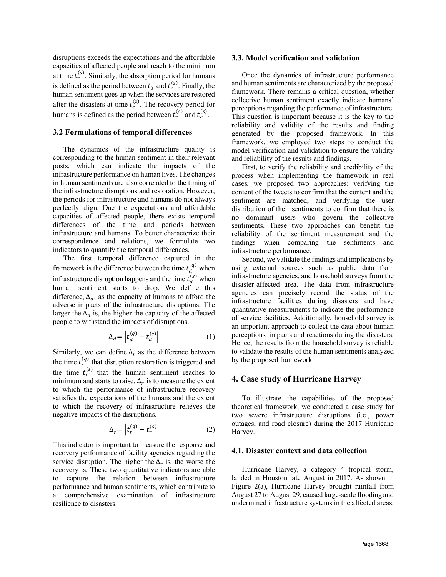disruptions exceeds the expectations and the affordable capacities of affected people and reach to the minimum at time  $t_r^{(s)}$ . Similarly, the absorption period for humans is defined as the period between  $t_0$  and  $t_r^{(s)}$ . Finally, the human sentiment goes up when the services are restored after the disasters at time  $t_e^{(s)}$ . The recovery period for humans is defined as the period between  $t_r^{(s)}$  and  $t_e^{(s)}$ .

#### **3.2 Formulations of temporal differences**

The dynamics of the infrastructure quality is corresponding to the human sentiment in their relevant posts, which can indicate the impacts of the infrastructure performance on human lives. The changes in human sentiments are also correlated to the timing of the infrastructure disruptions and restoration. However, the periods for infrastructure and humans do not always perfectly align. Due the expectations and affordable capacities of affected people, there exists temporal differences of the time and periods between infrastructure and humans. To better characterize their correspondence and relations, we formulate two indicators to quantify the temporal differences.

The first temporal difference captured in the framework is the difference between the time  $t_d^{(q)}$  when infrastructure disruption happens and the time  $t_d^{(s)}$  when human sentiment starts to drop. We define this difference,  $\Delta_d$ , as the capacity of humans to afford the adverse impacts of the infrastructure disruptions. The larger the  $\Delta_d$  is, the higher the capacity of the affected people to withstand the impacts of disruptions.

$$
\Delta_d = \left| t_d^{(q)} - t_d^{(s)} \right| \tag{1}
$$

Similarly, we can define  $\Delta_r$  as the difference between the time  $t_r^{(q)}$  that disruption restoration is triggered and the time  $t_r^{(s)}$  that the human sentiment reaches to minimum and starts to raise.  $\Delta_r$  is to measure the extent to which the performance of infrastructure recovery satisfies the expectations of the humans and the extent to which the recovery of infrastructure relieves the negative impacts of the disruptions.

$$
\Delta_r = \left| t_r^{(q)} - t_r^{(s)} \right| \tag{2}
$$

This indicator is important to measure the response and recovery performance of facility agencies regarding the service disruption. The higher the  $\Delta_r$  is, the worse the recovery is. These two quantitative indicators are able to capture the relation between infrastructure performance and human sentiments, which contribute to a comprehensive examination of infrastructure resilience to disasters.

#### **3.3. Model verification and validation**

Once the dynamics of infrastructure performance and human sentiments are characterized by the proposed framework. There remains a critical question, whether collective human sentiment exactly indicate humans' perceptions regarding the performance of infrastructure. This question is important because it is the key to the reliability and validity of the results and finding generated by the proposed framework. In this framework, we employed two steps to conduct the model verification and validation to ensure the validity and reliability of the results and findings.

First, to verify the reliability and credibility of the process when implementing the framework in real cases, we proposed two approaches: verifying the content of the tweets to confirm that the content and the sentiment are matched; and verifying the user distribution of their sentiments to confirm that there is no dominant users who govern the collective sentiments. These two approaches can benefit the reliability of the sentiment measurement and the findings when comparing the sentiments and infrastructure performance.

Second, we validate the findings and implications by using external sources such as public data from infrastructure agencies, and household surveys from the disaster-affected area. The data from infrastructure agencies can precisely record the status of the infrastructure facilities during disasters and have quantitative measurements to indicate the performance of service facilities. Additionally, household survey is an important approach to collect the data about human perceptions, impacts and reactions during the disasters. Hence, the results from the household survey is reliable to validate the results of the human sentiments analyzed by the proposed framework.

#### **4. Case study of Hurricane Harvey**

To illustrate the capabilities of the proposed theoretical framework, we conducted a case study for two severe infrastructure disruptions (i.e., power outages, and road closure) during the 2017 Hurricane Harvey.

#### **4.1. Disaster context and data collection**

Hurricane Harvey, a category 4 tropical storm, landed in Houston late August in 2017. As shown in Figure 2(a), Hurricane Harvey brought rainfall from August 27 to August 29, caused large-scale flooding and undermined infrastructure systems in the affected areas.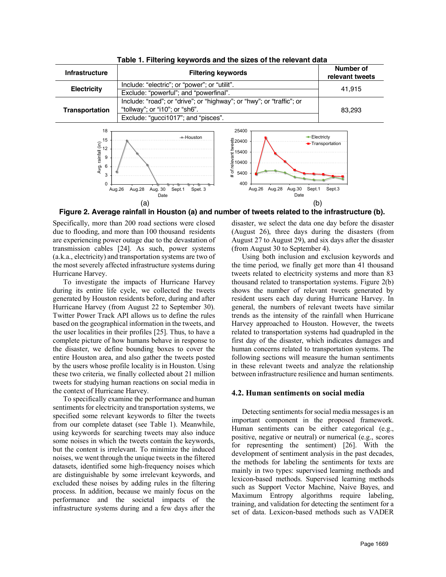

**Table 1. Filtering keywords and the sizes of the relevant data**

**Figure 2. Average rainfall in Houston (a) and number of tweets related to the infrastructure (b).**

Specifically, more than 200 road sections were closed due to flooding, and more than 100 thousand residents are experiencing power outage due to the devastation of transmission cables [24]. As such, power systems (a.k.a., electricity) and transportation systems are two of the most severely affected infrastructure systems during Hurricane Harvey.

To investigate the impacts of Hurricane Harvey during its entire life cycle, we collected the tweets generated by Houston residents before, during and after Hurricane Harvey (from August 22 to September 30). Twitter Power Track API allows us to define the rules based on the geographical information in the tweets, and the user localities in their profiles [25]. Thus, to have a complete picture of how humans behave in response to the disaster, we define bounding boxes to cover the entire Houston area, and also gather the tweets posted by the users whose profile locality is in Houston. Using these two criteria, we finally collected about 21 million tweets for studying human reactions on social media in the context of Hurricane Harvey.

To specifically examine the performance and human sentiments for electricity and transportation systems, we specified some relevant keywords to filter the tweets from our complete dataset (see Table 1). Meanwhile, using keywords for searching tweets may also induce some noises in which the tweets contain the keywords, but the content is irrelevant. To minimize the induced noises, we went through the unique tweets in the filtered datasets, identified some high-frequency noises which are distinguishable by some irrelevant keywords, and excluded these noises by adding rules in the filtering process. In addition, because we mainly focus on the performance and the societal impacts of the infrastructure systems during and a few days after the

disaster, we select the data one day before the disaster (August 26), three days during the disasters (from August 27 to August 29), and six days after the disaster (from August 30 to September 4).

Using both inclusion and exclusion keywords and the time period, we finally get more than 41 thousand tweets related to electricity systems and more than 83 thousand related to transportation systems. Figure 2(b) shows the number of relevant tweets generated by resident users each day during Hurricane Harvey. In general, the numbers of relevant tweets have similar trends as the intensity of the rainfall when Hurricane Harvey approached to Houston. However, the tweets related to transportation systems had quadrupled in the first day of the disaster, which indicates damages and human concerns related to transportation systems. The following sections will measure the human sentiments in these relevant tweets and analyze the relationship between infrastructure resilience and human sentiments.

#### **4.2. Human sentiments on social media**

Detecting sentiments for social media messages is an important component in the proposed framework. Human sentiments can be either categorical (e.g., positive, negative or neutral) or numerical (e.g., scores for representing the sentiment) [26]. With the development of sentiment analysis in the past decades, the methods for labeling the sentiments for texts are mainly in two types: supervised learning methods and lexicon-based methods. Supervised learning methods such as Support Vector Machine, Naive Bayes, and Maximum Entropy algorithms require labeling, training, and validation for detecting the sentiment for a set of data. Lexicon-based methods such as VADER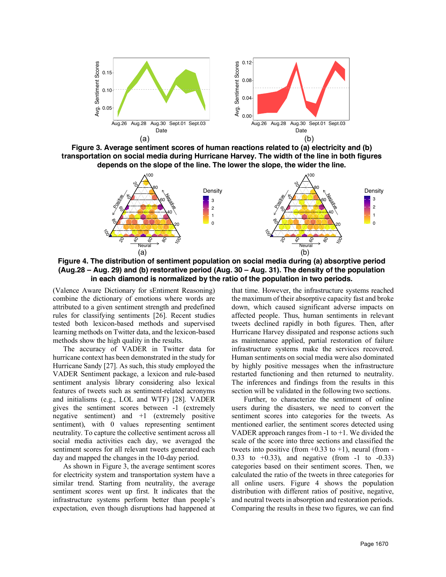

**Figure 3. Average sentiment scores of human reactions related to (a) electricity and (b) transportation on social media during Hurricane Harvey. The width of the line in both figures depends on the slope of the line. The lower the slope, the wider the line.** 



**Figure 4. The distribution of sentiment population on social media during (a) absorptive period (Aug.28 – Aug. 29) and (b) restorative period (Aug. 30 – Aug. 31). The density of the population in each diamond is normalized by the ratio of the population in two periods.** 

(Valence Aware Dictionary for sEntiment Reasoning) combine the dictionary of emotions where words are attributed to a given sentiment strength and predefined rules for classifying sentiments [26]. Recent studies tested both lexicon-based methods and supervised learning methods on Twitter data, and the lexicon-based methods show the high quality in the results.

The accuracy of VADER in Twitter data for hurricane context has been demonstrated in the study for Hurricane Sandy [27]. As such, this study employed the VADER Sentiment package, a lexicon and rule-based sentiment analysis library considering also lexical features of tweets such as sentiment-related acronyms and initialisms (e.g., LOL and WTF) [28]. VADER gives the sentiment scores between -1 (extremely negative sentiment) and +1 (extremely positive sentiment), with 0 values representing sentiment neutrality. To capture the collective sentiment across all social media activities each day, we averaged the sentiment scores for all relevant tweets generated each day and mapped the changes in the 10-day period.

As shown in Figure 3, the average sentiment scores for electricity system and transportation system have a similar trend. Starting from neutrality, the average sentiment scores went up first. It indicates that the infrastructure systems perform better than people's expectation, even though disruptions had happened at that time. However, the infrastructure systems reached the maximum of their absorptive capacity fast and broke down, which caused significant adverse impacts on affected people. Thus, human sentiments in relevant tweets declined rapidly in both figures. Then, after Hurricane Harvey dissipated and response actions such as maintenance applied, partial restoration of failure infrastructure systems make the services recovered. Human sentiments on social media were also dominated by highly positive messages when the infrastructure restarted functioning and then returned to neutrality. The inferences and findings from the results in this section will be validated in the following two sections.

Further, to characterize the sentiment of online users during the disasters, we need to convert the sentiment scores into categories for the tweets. As mentioned earlier, the sentiment scores detected using VADER approach ranges from  $-1$  to  $+1$ . We divided the scale of the score into three sections and classified the tweets into positive (from  $+0.33$  to  $+1$ ), neural (from -0.33 to  $+0.33$ ), and negative (from  $-1$  to  $-0.33$ ) categories based on their sentiment scores. Then, we calculated the ratio of the tweets in three categories for all online users. Figure 4 shows the population distribution with different ratios of positive, negative, and neutral tweets in absorption and restoration periods. Comparing the results in these two figures, we can find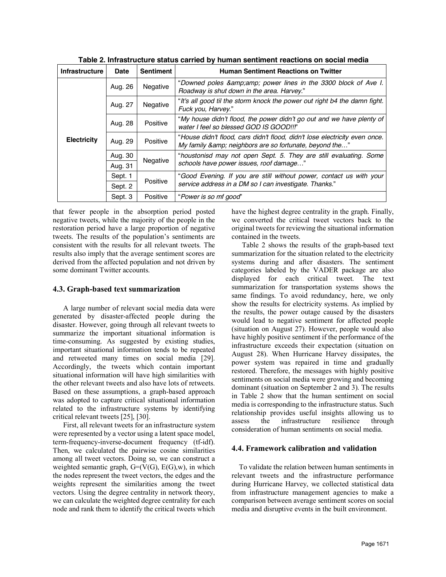| <b>Infrastructure</b> | <b>Date</b> | <b>Sentiment</b> | <b>Human Sentiment Reactions on Twitter</b>                                                                                       |
|-----------------------|-------------|------------------|-----------------------------------------------------------------------------------------------------------------------------------|
| <b>Electricity</b>    | Aug. 26     | Negative         | "Downed poles & power lines in the 3300 block of Ave I.<br>Roadway is shut down in the area. Harvey."                             |
|                       | Aug. 27     | Negative         | "It's all good til the storm knock the power out right b4 the damn fight.<br>Fuck you, Harvey."                                   |
|                       | Aug. 28     | Positive         | "My house didn't flood, the power didn't go out and we have plenty of<br>water I feel so blessed GOD IS GOOD!!!"                  |
|                       | Aug. 29     | Positive         | "House didn't flood, cars didn't flood, didn't lose electricity even once.<br>My family & neighbors are so fortunate, beyond the" |
|                       | Aug. 30     | Negative         | "houstonisd may not open Sept. 5. They are still evaluating. Some<br>schools have power issues, roof damage"                      |
|                       | Aug. 31     |                  |                                                                                                                                   |
|                       | Sept. 1     | Positive         | "Good Evening. If you are still without power, contact us with your<br>service address in a DM so I can investigate. Thanks."     |
|                       | Sept. 2     |                  |                                                                                                                                   |
|                       | Sept. 3     | Positive         | "Power is so mf good"                                                                                                             |

**Table 2. Infrastructure status carried by human sentiment reactions on social media**

that fewer people in the absorption period posted negative tweets, while the majority of the people in the restoration period have a large proportion of negative tweets. The results of the population's sentiments are consistent with the results for all relevant tweets. The results also imply that the average sentiment scores are derived from the affected population and not driven by some dominant Twitter accounts.

### **4.3. Graph-based text summarization**

A large number of relevant social media data were generated by disaster-affected people during the disaster. However, going through all relevant tweets to summarize the important situational information is time-consuming. As suggested by existing studies, important situational information tends to be repeated and retweeted many times on social media [29]. Accordingly, the tweets which contain important situational information will have high similarities with the other relevant tweets and also have lots of retweets. Based on these assumptions, a graph-based approach was adopted to capture critical situational information related to the infrastructure systems by identifying critical relevant tweets [25], [30].

First, all relevant tweets for an infrastructure system were represented by a vector using a latent space model, term-frequency-inverse-document frequency (tf-idf). Then, we calculated the pairwise cosine similarities among all tweet vectors. Doing so, we can construct a weighted semantic graph,  $G=(V(G), E(G), w)$ , in which the nodes represent the tweet vectors, the edges and the weights represent the similarities among the tweet vectors. Using the degree centrality in network theory, we can calculate the weighted degree centrality for each node and rank them to identify the critical tweets which have the highest degree centrality in the graph. Finally, we converted the critical tweet vectors back to the original tweets for reviewing the situational information contained in the tweets.

Table 2 shows the results of the graph-based text summarization for the situation related to the electricity systems during and after disasters. The sentiment categories labeled by the VADER package are also displayed for each critical tweet. The text summarization for transportation systems shows the same findings. To avoid redundancy, here, we only show the results for electricity systems. As implied by the results, the power outage caused by the disasters would lead to negative sentiment for affected people (situation on August 27). However, people would also have highly positive sentiment if the performance of the infrastructure exceeds their expectation (situation on August 28). When Hurricane Harvey dissipates, the power system was repaired in time and gradually restored. Therefore, the messages with highly positive sentiments on social media were growing and becoming dominant (situation on September 2 and 3). The results in Table 2 show that the human sentiment on social media is corresponding to the infrastructure status. Such relationship provides useful insights allowing us to assess the infrastructure resilience through consideration of human sentiments on social media.

#### **4.4. Framework calibration and validation**

 To validate the relation between human sentiments in relevant tweets and the infrastructure performance during Hurricane Harvey, we collected statistical data from infrastructure management agencies to make a comparison between average sentiment scores on social media and disruptive events in the built environment.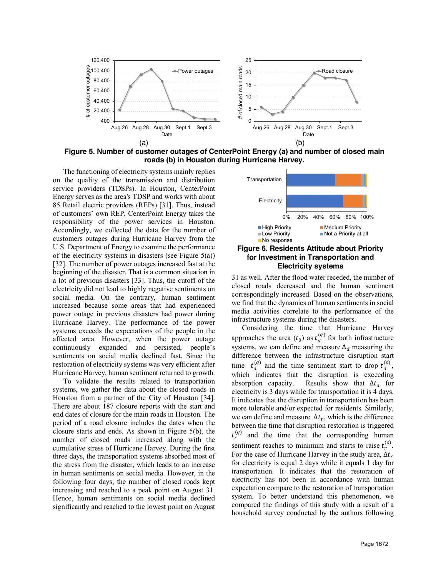

**Figure 5. Number of customer outages of CenterPoint Energy (a) and number of closed main roads (b) in Houston during Hurricane Harvey.**

The functioning of electricity systems mainly replies on the quality of the transmission and distribution service providers (TDSPs). In Houston, CenterPoint Energy serves as the area's TDSP and works with about 85 Retail electric providers (REPs) [31]. Thus, instead of customers' own REP, CenterPoint Energy takes the responsibility of the power services in Houston. Accordingly, we collected the data for the number of customers outages during Hurricane Harvey from the U.S. Department of Energy to examine the performance of the electricity systems in disasters (see Figure 5(a)) [32]. The number of power outages increased fast at the beginning of the disaster. That is a common situation in a lot of previous disasters [33]. Thus, the cutoff of the electricity did not lead to highly negative sentiments on social media. On the contrary, human sentiment increased because some areas that had experienced power outage in previous disasters had power during Hurricane Harvey. The performance of the power systems exceeds the expectations of the people in the affected area. However, when the power outage continuously expanded and persisted, people's sentiments on social media declined fast. Since the restoration of electricity systems was very efficient after Hurricane Harvey, human sentiment returned to growth.

To validate the results related to transportation systems, we gather the data about the closed roads in Houston from a partner of the City of Houston [34]. There are about 187 closure reports with the start and end dates of closure for the main roads in Houston. The period of a road closure includes the dates when the closure starts and ends. As shown in Figure 5(b), the number of closed roads increased along with the cumulative stress of Hurricane Harvey. During the first three days, the transportation systems absorbed most of the stress from the disaster, which leads to an increase in human sentiments on social media. However, in the following four days, the number of closed roads kept increasing and reached to a peak point on August 31. Hence, human sentiments on social media declined significantly and reached to the lowest point on August



#### **Figure 6. Residents Attitude about Priority for Investment in Transportation and Electricity systems**

31 as well. After the flood water receded, the number of closed roads decreased and the human sentiment correspondingly increased. Based on the observations, we find that the dynamics of human sentiments in social media activities correlate to the performance of the infrastructure systems during the disasters.

Considering the time that Hurricane Harvey approaches the area  $(t_0)$  as  $t_d^{(q)}$  for both infrastructure systems, we can define and measure  $\Delta_d$  measuring the difference between the infrastructure disruption start time  $t_d^{(q)}$  and the time sentiment start to drop  $t_d^{(s)}$ , which indicates that the disruption is exceeding absorption capacity. Results show that  $\Delta t_a$  for electricity is 3 days while for transportation it is 4 days. It indicates that the disruption in transportation has been more tolerable and/or expected for residents. Similarly, we can define and measure  $\Delta t_r$ , which is the difference between the time that disruption restoration is triggered  $t_r^{(q)}$  and the time that the corresponding human sentiment reaches to minimum and starts to raise  $t_r^{(s)}$ . For the case of Hurricane Harvey in the study area,  $\Delta t_r$ for electricity is equal 2 days while it equals 1 day for transportation. It indicates that the restoration of electricity has not been in accordance with human expectation compare to the restoration of transportation system. To better understand this phenomenon, we compared the findings of this study with a result of a household survey conducted by the authors following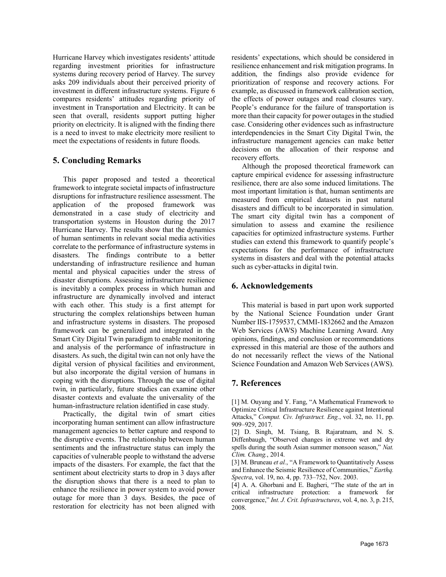Hurricane Harvey which investigates residents' attitude regarding investment priorities for infrastructure systems during recovery period of Harvey. The survey asks 209 individuals about their perceived priority of investment in different infrastructure systems. Figure 6 compares residents' attitudes regarding priority of investment in Transportation and Electricity. It can be seen that overall, residents support putting higher priority on electricity. It is aligned with the finding there is a need to invest to make electricity more resilient to meet the expectations of residents in future floods.

# **5. Concluding Remarks**

This paper proposed and tested a theoretical framework to integrate societal impacts of infrastructure disruptions for infrastructure resilience assessment. The application of the proposed framework was demonstrated in a case study of electricity and transportation systems in Houston during the 2017 Hurricane Harvey. The results show that the dynamics of human sentiments in relevant social media activities correlate to the performance of infrastructure systems in disasters. The findings contribute to a better understanding of infrastructure resilience and human mental and physical capacities under the stress of disaster disruptions. Assessing infrastructure resilience is inevitably a complex process in which human and infrastructure are dynamically involved and interact with each other. This study is a first attempt for structuring the complex relationships between human and infrastructure systems in disasters. The proposed framework can be generalized and integrated in the Smart City Digital Twin paradigm to enable monitoring and analysis of the performance of infrastructure in disasters. As such, the digital twin can not only have the digital version of physical facilities and environment, but also incorporate the digital version of humans in coping with the disruptions. Through the use of digital twin, in particularly, future studies can examine other disaster contexts and evaluate the universality of the human-infrastructure relation identified in case study.

Practically, the digital twin of smart cities incorporating human sentiment can allow infrastructure management agencies to better capture and respond to the disruptive events. The relationship between human sentiments and the infrastructure status can imply the capacities of vulnerable people to withstand the adverse impacts of the disasters. For example, the fact that the sentiment about electricity starts to drop in 3 days after the disruption shows that there is a need to plan to enhance the resilience in power system to avoid power outage for more than 3 days. Besides, the pace of restoration for electricity has not been aligned with residents' expectations, which should be considered in resilience enhancement and risk mitigation programs. In addition, the findings also provide evidence for prioritization of response and recovery actions. For example, as discussed in framework calibration section, the effects of power outages and road closures vary. People's endurance for the failure of transportation is more than their capacity for power outages in the studied case. Considering other evidences such as infrastructure interdependencies in the Smart City Digital Twin, the infrastructure management agencies can make better decisions on the allocation of their response and recovery efforts.

Although the proposed theoretical framework can capture empirical evidence for assessing infrastructure resilience, there are also some induced limitations. The most important limitation is that, human sentiments are measured from empirical datasets in past natural disasters and difficult to be incorporated in simulation. The smart city digital twin has a component of simulation to assess and examine the resilience capacities for optimized infrastructure systems. Further studies can extend this framework to quantify people's expectations for the performance of infrastructure systems in disasters and deal with the potential attacks such as cyber-attacks in digital twin.

# **6. Acknowledgements**

This material is based in part upon work supported by the National Science Foundation under Grant Number IIS-1759537, CMMI-1832662 and the Amazon Web Services (AWS) Machine Learning Award. Any opinions, findings, and conclusion or recommendations expressed in this material are those of the authors and do not necessarily reflect the views of the National Science Foundation and Amazon Web Services (AWS).

# **7. References**

[1] M. Ouyang and Y. Fang, "A Mathematical Framework to Optimize Critical Infrastructure Resilience against Intentional Attacks," *Comput. Civ. Infrastruct. Eng.*, vol. 32, no. 11, pp. 909–929, 2017.

[2] D. Singh, M. Tsiang, B. Rajaratnam, and N. S. Diffenbaugh, "Observed changes in extreme wet and dry spells during the south Asian summer monsoon season," *Nat. Clim. Chang.*, 2014.

[3] M. Bruneau et al., "A Framework to Quantitatively Assess and Enhance the Seismic Resilience of Communities," *Earthq. Spectra*, vol. 19, no. 4, pp. 733–752, Nov. 2003.

[4] A. A. Ghorbani and E. Bagheri, "The state of the art in critical infrastructure protection: a framework for convergence," *Int. J. Crit. Infrastructures*, vol. 4, no. 3, p. 215, 2008.